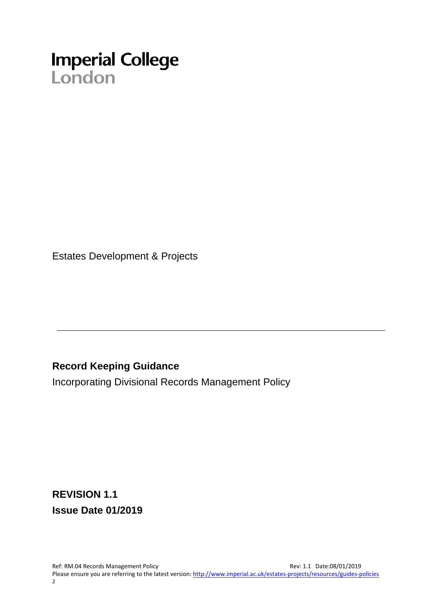# **Imperial College**<br>London

Estates Development & Projects

# **Record Keeping Guidance**

Incorporating Divisional Records Management Policy

**REVISION 1.1 Issue Date 01/2019**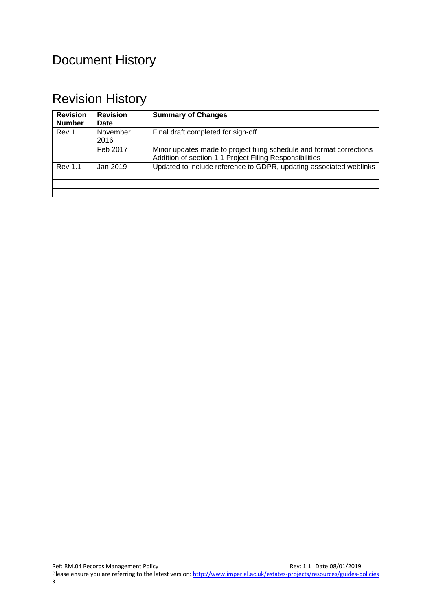# Document History

# Revision History

| <b>Revision</b><br><b>Number</b> | <b>Revision</b><br>Date | <b>Summary of Changes</b>                                                                                                       |
|----------------------------------|-------------------------|---------------------------------------------------------------------------------------------------------------------------------|
| Rev 1                            | November<br>2016        | Final draft completed for sign-off                                                                                              |
|                                  | Feb 2017                | Minor updates made to project filing schedule and format corrections<br>Addition of section 1.1 Project Filing Responsibilities |
| <b>Rev 1.1</b>                   | Jan 2019                | Updated to include reference to GDPR, updating associated weblinks                                                              |
|                                  |                         |                                                                                                                                 |
|                                  |                         |                                                                                                                                 |
|                                  |                         |                                                                                                                                 |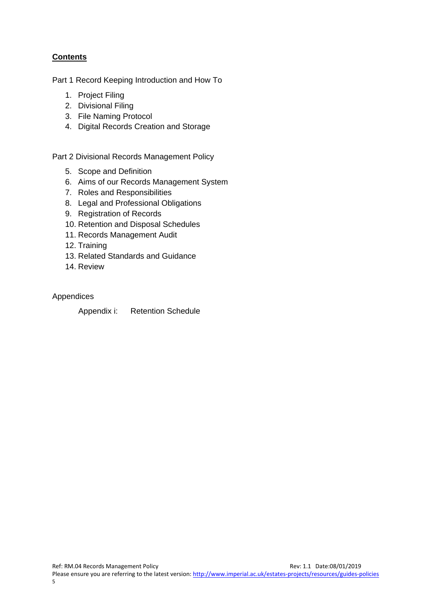# **Contents**

Part 1 Record Keeping Introduction and How To

- 1. Project Filing
- 2. Divisional Filing
- 3. File Naming Protocol
- 4. Digital Records Creation and Storage

Part 2 Divisional Records Management Policy

- 5. Scope and Definition
- 6. Aims of our Records Management System
- 7. Roles and Responsibilities
- 8. Legal and Professional Obligations
- 9. Registration of Records
- 10. Retention and Disposal Schedules
- 11. Records Management Audit
- 12. Training
- 13. Related Standards and Guidance
- 14. Review

Appendices

Appendix i: Retention Schedule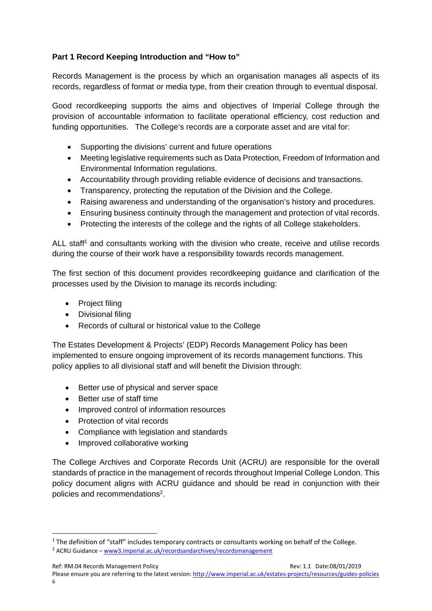## **Part 1 Record Keeping Introduction and "How to"**

Records Management is the process by which an organisation manages all aspects of its records, regardless of format or media type, from their creation through to eventual disposal.

Good recordkeeping supports the aims and objectives of Imperial College through the provision of accountable information to facilitate operational efficiency, cost reduction and funding opportunities. The College's records are a corporate asset and are vital for:

- Supporting the divisions' current and future operations
- Meeting legislative requirements such as Data Protection, Freedom of Information and Environmental Information regulations.
- Accountability through providing reliable evidence of decisions and transactions.
- Transparency, protecting the reputation of the Division and the College.
- Raising awareness and understanding of the organisation's history and procedures.
- Ensuring business continuity through the management and protection of vital records.
- Protecting the interests of the college and the rights of all College stakeholders.

ALL staff<sup>1</sup> and consultants working with the division who create, receive and utilise records during the course of their work have a responsibility towards records management.

The first section of this document provides recordkeeping guidance and clarification of the processes used by the Division to manage its records including:

- Project filing
- Divisional filing
- Records of cultural or historical value to the College

The Estates Development & Projects' (EDP) Records Management Policy has been implemented to ensure ongoing improvement of its records management functions. This policy applies to all divisional staff and will benefit the Division through:

- Better use of physical and server space
- Better use of staff time

- Improved control of information resources
- Protection of vital records
- Compliance with legislation and standards
- Improved collaborative working

The College Archives and Corporate Records Unit (ACRU) are responsible for the overall standards of practice in the management of records throughout Imperial College London. This policy document aligns with ACRU guidance and should be read in conjunction with their policies and recommendations2.

Ref: RM.04 Records Management Policy and the state of the state of the state of the SNO1/2019 Rev: 1.1 Date:08/01/2019 Please ensure you are referring to the latest version: http://www.imperial.ac.uk/estates-projects/resources/guides-policies 6

 $1$  The definition of "staff" includes temporary contracts or consultants working on behalf of the College.

<sup>&</sup>lt;sup>2</sup> ACRU Guidance – www3.imperial.ac.uk/recordsandarchives/recordsmanagement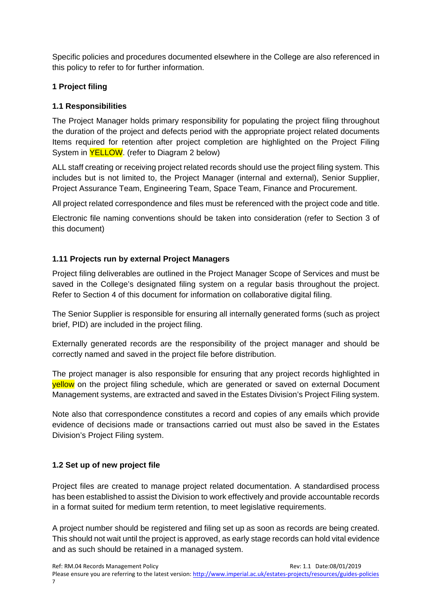Specific policies and procedures documented elsewhere in the College are also referenced in this policy to refer to for further information.

# **1 Project filing**

# **1.1 Responsibilities**

The Project Manager holds primary responsibility for populating the project filing throughout the duration of the project and defects period with the appropriate project related documents Items required for retention after project completion are highlighted on the Project Filing System in YELLOW. (refer to Diagram 2 below)

ALL staff creating or receiving project related records should use the project filing system. This includes but is not limited to, the Project Manager (internal and external), Senior Supplier, Project Assurance Team, Engineering Team, Space Team, Finance and Procurement.

All project related correspondence and files must be referenced with the project code and title.

Electronic file naming conventions should be taken into consideration (refer to Section 3 of this document)

# **1.11 Projects run by external Project Managers**

Project filing deliverables are outlined in the Project Manager Scope of Services and must be saved in the College's designated filing system on a regular basis throughout the project. Refer to Section 4 of this document for information on collaborative digital filing.

The Senior Supplier is responsible for ensuring all internally generated forms (such as project brief, PID) are included in the project filing.

Externally generated records are the responsibility of the project manager and should be correctly named and saved in the project file before distribution.

The project manager is also responsible for ensuring that any project records highlighted in yellow on the project filing schedule, which are generated or saved on external Document Management systems, are extracted and saved in the Estates Division's Project Filing system.

Note also that correspondence constitutes a record and copies of any emails which provide evidence of decisions made or transactions carried out must also be saved in the Estates Division's Project Filing system.

# **1.2 Set up of new project file**

Project files are created to manage project related documentation. A standardised process has been established to assist the Division to work effectively and provide accountable records in a format suited for medium term retention, to meet legislative requirements.

A project number should be registered and filing set up as soon as records are being created. This should not wait until the project is approved, as early stage records can hold vital evidence and as such should be retained in a managed system.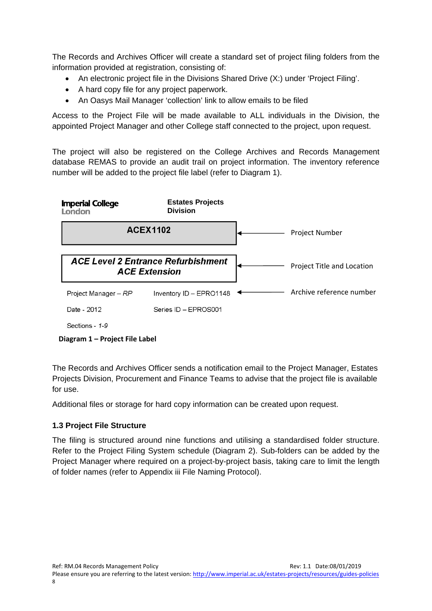The Records and Archives Officer will create a standard set of project filing folders from the information provided at registration, consisting of:

- An electronic project file in the Divisions Shared Drive (X:) under 'Project Filing'.
- A hard copy file for any project paperwork.
- An Oasys Mail Manager 'collection' link to allow emails to be filed

Access to the Project File will be made available to ALL individuals in the Division, the appointed Project Manager and other College staff connected to the project, upon request.

The project will also be registered on the College Archives and Records Management database REMAS to provide an audit trail on project information. The inventory reference number will be added to the project file label (refer to Diagram 1).



#### **Diagram 1 – Project File Label**

The Records and Archives Officer sends a notification email to the Project Manager, Estates Projects Division, Procurement and Finance Teams to advise that the project file is available for use.

Additional files or storage for hard copy information can be created upon request.

# **1.3 Project File Structure**

The filing is structured around nine functions and utilising a standardised folder structure. Refer to the Project Filing System schedule (Diagram 2). Sub-folders can be added by the Project Manager where required on a project-by-project basis, taking care to limit the length of folder names (refer to Appendix iii File Naming Protocol).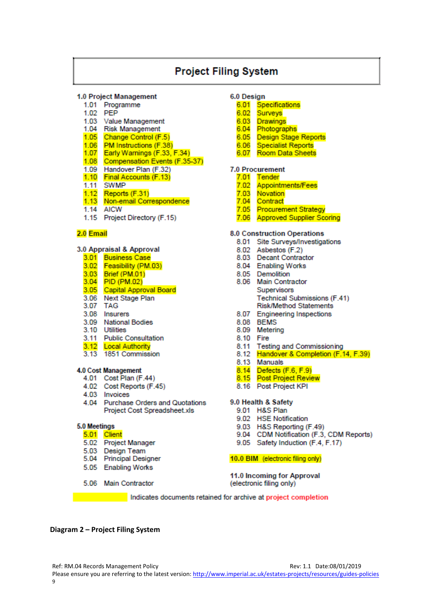# **Project Filing System**

#### 1.0 Project Management

- 1.01 Programme
- 1.02 PEP
- 1.03 Value Management
- 1.04 Risk Management
- 1.05 Change Control (F.5)
- 1.06 PM Instructions (F.38)
- 1.07 Early Warnings (F.33, F.34)
- 1.08 Compensation Events (F.35-37)
- 1.09 Handover Plan (F.32) 1.10 Final Accounts (F.13)
- 1.11 SWMP
- $1.12$  Reports (F.31)
- 1.13 Non-email Correspondence
- 1.14 AICW
- 1.15 Project Directory (F.15)

#### 2.0 Email

#### 3.0 Appraisal & Approval

- 3.01 Business Case
- 3.02 Feasibility (PM.03)
- 3.03 Brief (PM.01)
- 3.04 PID (PM.02)
- 3.05 Capital Approval Board
- 3.06 Next Stage Plan
- 3.07 TAG
- 3.08 Insurers
- 3.09 National Bodies
- 3.10 Utilities
- 3.11 Public Consultation
- 3.12 Local Authority<br>3.13 1851 Commission
- 

#### 4.0 Cost Management

- 4.01 Cost Plan (F.44)
- 4.02 Cost Reports (F.45)
- 4.03 Invoices
- 4.04 Purchase Orders and Quotations Project Cost Spreadsheet.xls

#### 5.0 Meetings

#### 5.01 Client

- 5.02 Project Manager
- 5.03 Design Team
- 5.04 Principal Designer
- 5.05 Enabling Works
- 5.06 Main Contractor

#### 6.0 Design

- 6.01 Specifications
- 6.02 Surveys
- 6.03 Drawings
- 6.04 Photographs
- 6.05 Design Stage Reports
- 6.06 Specialist Reports
- 6.07 Room Data Sheets

#### **7.0 Procurement**

- 7.01 Tender
- 7.02 Appointments/Fees
- 7.03 Novation
- 7.04 Contract
- 7.05 Procurement Strategy
- 7.06 Approved Supplier Scoring

#### **8.0 Construction Operations**

- 8.01 Site Surveys/Investigations
- 8.02 Asbestos (F.2)
- 8.03 Decant Contractor
- 8.04 Enabling Works
- 8.05 Demolition
- 8.06 Main Contractor **Supervisors Technical Submissions (F.41)** Risk/Method Statements
- 8.07 Engineering Inspections
- 8.08 BEMS
- 8.09 Metering
- 8.10 Fire
- 
- 8.11 Testing and Commissioning<br>8.12 Handover & Completion (F.14, F.39)
- 8.13 Manuals
- 
- 8.14 Defects (F.6, F.9)<br>8.15 Post Project Review
- 8.16 Post Project KPI

#### 9.0 Health & Safety

- 9.01 H&S Plan
- 9.02 HSE Notification
- 9.03 H&S Reporting (F.49)
- 9.04 CDM Notification (F.3, CDM Reports)
- 9.05 Safety Induction (F.4, F.17)

#### 10.0 BIM (electronic filing only)

11.0 Incoming for Approval (electronic filing only)

Indicates documents retained for archive at project completion

#### **Diagram 2 – Project Filing System**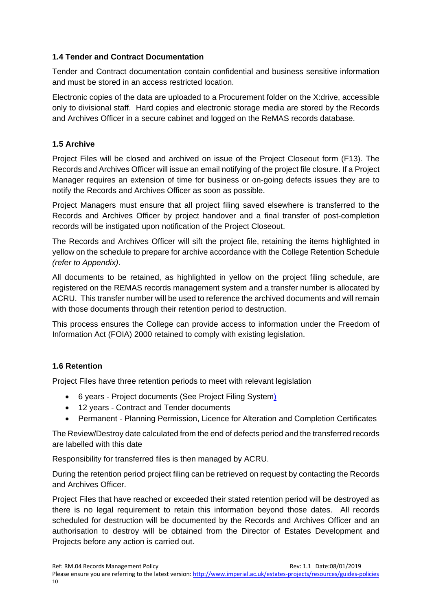#### **1.4 Tender and Contract Documentation**

Tender and Contract documentation contain confidential and business sensitive information and must be stored in an access restricted location.

Electronic copies of the data are uploaded to a Procurement folder on the X:drive, accessible only to divisional staff. Hard copies and electronic storage media are stored by the Records and Archives Officer in a secure cabinet and logged on the ReMAS records database.

#### **1.5 Archive**

Project Files will be closed and archived on issue of the Project Closeout form (F13). The Records and Archives Officer will issue an email notifying of the project file closure. If a Project Manager requires an extension of time for business or on-going defects issues they are to notify the Records and Archives Officer as soon as possible.

Project Managers must ensure that all project filing saved elsewhere is transferred to the Records and Archives Officer by project handover and a final transfer of post-completion records will be instigated upon notification of the Project Closeout.

The Records and Archives Officer will sift the project file, retaining the items highlighted in yellow on the schedule to prepare for archive accordance with the College Retention Schedule *(refer to Appendix)*.

All documents to be retained, as highlighted in yellow on the project filing schedule, are registered on the REMAS records management system and a transfer number is allocated by ACRU. This transfer number will be used to reference the archived documents and will remain with those documents through their retention period to destruction.

This process ensures the College can provide access to information under the Freedom of Information Act (FOIA) 2000 retained to comply with existing legislation.

# **1.6 Retention**

Project Files have three retention periods to meet with relevant legislation

- 6 years Project documents (See Project Filing System)
- 12 years Contract and Tender documents
- Permanent Planning Permission, Licence for Alteration and Completion Certificates

The Review/Destroy date calculated from the end of defects period and the transferred records are labelled with this date

Responsibility for transferred files is then managed by ACRU.

During the retention period project filing can be retrieved on request by contacting the Records and Archives Officer.

Project Files that have reached or exceeded their stated retention period will be destroyed as there is no legal requirement to retain this information beyond those dates. All records scheduled for destruction will be documented by the Records and Archives Officer and an authorisation to destroy will be obtained from the Director of Estates Development and Projects before any action is carried out.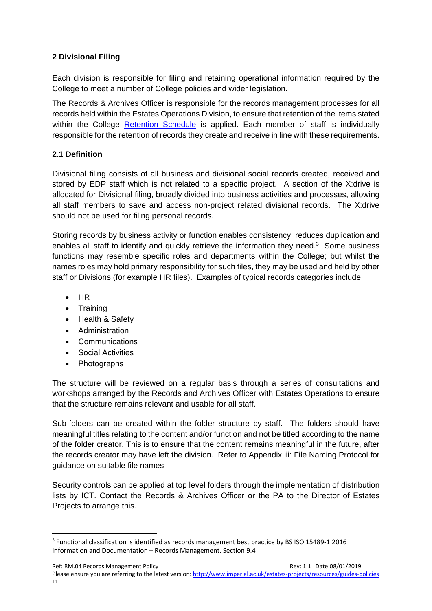# **2 Divisional Filing**

Each division is responsible for filing and retaining operational information required by the College to meet a number of College policies and wider legislation.

The Records & Archives Officer is responsible for the records management processes for all records held within the Estates Operations Division, to ensure that retention of the items stated within the College Retention Schedule is applied. Each member of staff is individually responsible for the retention of records they create and receive in line with these requirements.

# **2.1 Definition**

Divisional filing consists of all business and divisional social records created, received and stored by EDP staff which is not related to a specific project. A section of the X:drive is allocated for Divisional filing, broadly divided into business activities and processes, allowing all staff members to save and access non-project related divisional records. The X:drive should not be used for filing personal records.

Storing records by business activity or function enables consistency, reduces duplication and enables all staff to identify and quickly retrieve the information they need.3 Some business functions may resemble specific roles and departments within the College; but whilst the names roles may hold primary responsibility for such files, they may be used and held by other staff or Divisions (for example HR files). Examples of typical records categories include:

- $-HR$
- Training
- Health & Safety
- Administration
- Communications
- Social Activities

• Photographs

The structure will be reviewed on a regular basis through a series of consultations and workshops arranged by the Records and Archives Officer with Estates Operations to ensure that the structure remains relevant and usable for all staff.

Sub-folders can be created within the folder structure by staff. The folders should have meaningful titles relating to the content and/or function and not be titled according to the name of the folder creator. This is to ensure that the content remains meaningful in the future, after the records creator may have left the division. Refer to Appendix iii: File Naming Protocol for guidance on suitable file names

Security controls can be applied at top level folders through the implementation of distribution lists by ICT. Contact the Records & Archives Officer or the PA to the Director of Estates Projects to arrange this.

<sup>3</sup> Functional classification is identified as records management best practice by BS ISO 15489‐1:2016 Information and Documentation – Records Management. Section 9.4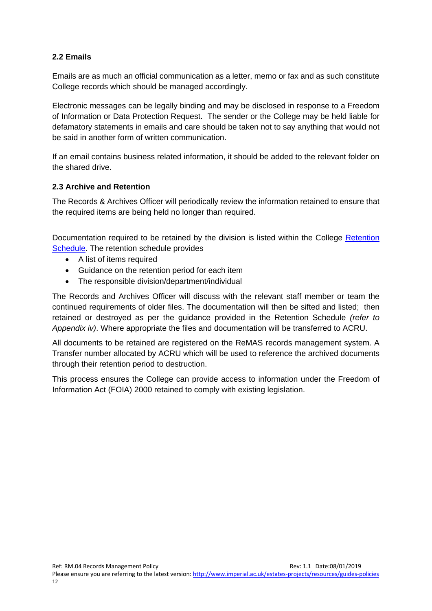#### **2.2 Emails**

Emails are as much an official communication as a letter, memo or fax and as such constitute College records which should be managed accordingly.

Electronic messages can be legally binding and may be disclosed in response to a Freedom of Information or Data Protection Request. The sender or the College may be held liable for defamatory statements in emails and care should be taken not to say anything that would not be said in another form of written communication.

If an email contains business related information, it should be added to the relevant folder on the shared drive.

#### **2.3 Archive and Retention**

The Records & Archives Officer will periodically review the information retained to ensure that the required items are being held no longer than required.

Documentation required to be retained by the division is listed within the College Retention Schedule. The retention schedule provides

- A list of items required
- Guidance on the retention period for each item
- The responsible division/department/individual

The Records and Archives Officer will discuss with the relevant staff member or team the continued requirements of older files. The documentation will then be sifted and listed; then retained or destroyed as per the guidance provided in the Retention Schedule *(refer to Appendix iv)*. Where appropriate the files and documentation will be transferred to ACRU.

All documents to be retained are registered on the ReMAS records management system. A Transfer number allocated by ACRU which will be used to reference the archived documents through their retention period to destruction.

This process ensures the College can provide access to information under the Freedom of Information Act (FOIA) 2000 retained to comply with existing legislation.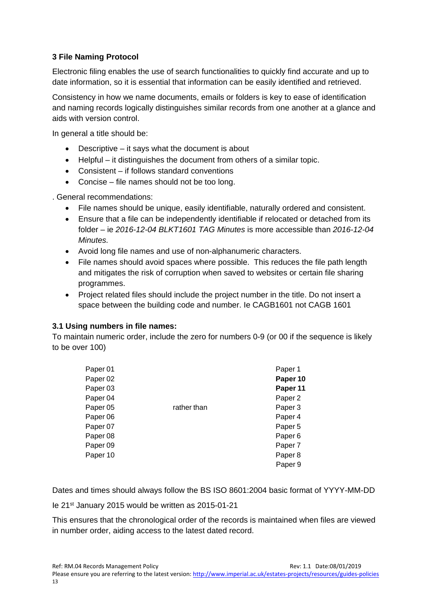## **3 File Naming Protocol**

Electronic filing enables the use of search functionalities to quickly find accurate and up to date information, so it is essential that information can be easily identified and retrieved.

Consistency in how we name documents, emails or folders is key to ease of identification and naming records logically distinguishes similar records from one another at a glance and aids with version control.

In general a title should be:

- Descriptive it says what the document is about
- Helpful it distinguishes the document from others of a similar topic.
- Consistent if follows standard conventions
- Concise file names should not be too long.

. General recommendations:

- File names should be unique, easily identifiable, naturally ordered and consistent.
- Ensure that a file can be independently identifiable if relocated or detached from its folder – ie *2016-12-04 BLKT1601 TAG Minutes* is more accessible than *2016-12-04 Minutes.*
- Avoid long file names and use of non-alphanumeric characters.
- File names should avoid spaces where possible. This reduces the file path length and mitigates the risk of corruption when saved to websites or certain file sharing programmes.
- Project related files should include the project number in the title. Do not insert a space between the building code and number. Ie CAGB1601 not CAGB 1601

#### **3.1 Using numbers in file names:**

To maintain numeric order, include the zero for numbers 0-9 (or 00 if the sequence is likely to be over 100)

| Paper 01            |             | Paper 1            |
|---------------------|-------------|--------------------|
| Paper <sub>02</sub> |             | Paper 10           |
| Paper <sub>03</sub> |             | Paper 11           |
| Paper <sub>04</sub> |             | Paper <sub>2</sub> |
| Paper <sub>05</sub> | rather than | Paper 3            |
| Paper 06            |             | Paper 4            |
| Paper 07            |             | Paper 5            |
| Paper 08            |             | Paper <sub>6</sub> |
| Paper 09            |             | Paper 7            |
| Paper 10            |             | Paper <sub>8</sub> |
|                     |             | Paper 9            |

Dates and times should always follow the BS ISO 8601:2004 basic format of YYYY-MM-DD

Ie 21st January 2015 would be written as 2015-01-21

This ensures that the chronological order of the records is maintained when files are viewed in number order, aiding access to the latest dated record.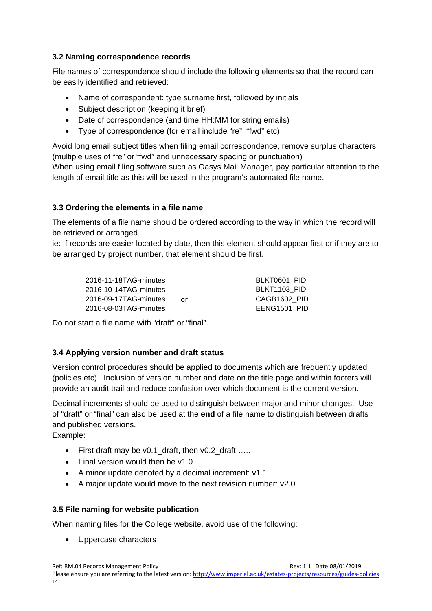#### **3.2 Naming correspondence records**

File names of correspondence should include the following elements so that the record can be easily identified and retrieved:

- Name of correspondent: type surname first, followed by initials
- Subject description (keeping it brief)
- Date of correspondence (and time HH:MM for string emails)
- Type of correspondence (for email include "re", "fwd" etc)

Avoid long email subject titles when filing email correspondence, remove surplus characters (multiple uses of "re" or "fwd" and unnecessary spacing or punctuation)

When using email filing software such as Oasys Mail Manager, pay particular attention to the length of email title as this will be used in the program's automated file name.

# **3.3 Ordering the elements in a file name**

The elements of a file name should be ordered according to the way in which the record will be retrieved or arranged.

ie: If records are easier located by date, then this element should appear first or if they are to be arranged by project number, that element should be first.

| 2016-11-18TAG-minutes |    | BLKT0601 PID |
|-----------------------|----|--------------|
| 2016-10-14TAG-minutes |    | BLKT1103 PID |
| 2016-09-17TAG-minutes | Ωr | CAGB1602 PID |
| 2016-08-03TAG-minutes |    | EENG1501 PID |

Do not start a file name with "draft" or "final".

# **3.4 Applying version number and draft status**

Version control procedures should be applied to documents which are frequently updated (policies etc). Inclusion of version number and date on the title page and within footers will provide an audit trail and reduce confusion over which document is the current version.

Decimal increments should be used to distinguish between major and minor changes. Use of "draft" or "final" can also be used at the **end** of a file name to distinguish between drafts and published versions.

Example:

- First draft may be v0.1 draft, then v0.2 draft …..
- Final version would then be v1.0
- A minor update denoted by a decimal increment: v1.1
- A major update would move to the next revision number: v2.0

# **3.5 File naming for website publication**

When naming files for the College website, avoid use of the following:

Uppercase characters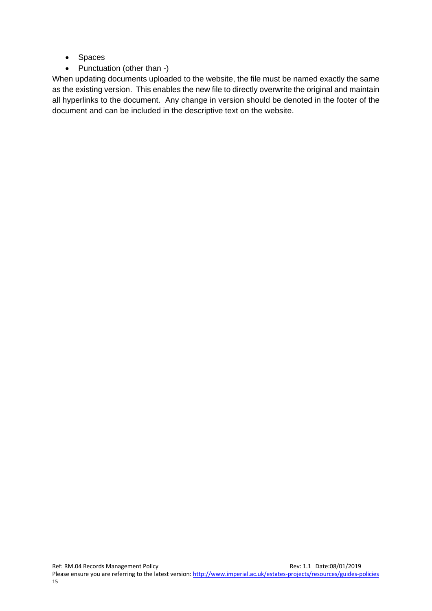- Spaces
- Punctuation (other than -)

When updating documents uploaded to the website, the file must be named exactly the same as the existing version. This enables the new file to directly overwrite the original and maintain all hyperlinks to the document. Any change in version should be denoted in the footer of the document and can be included in the descriptive text on the website.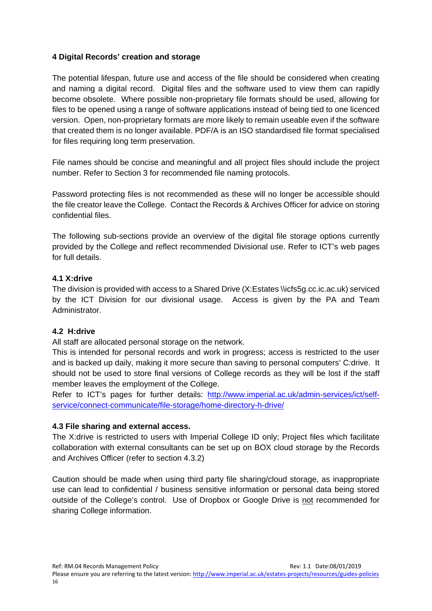#### **4 Digital Records' creation and storage**

The potential lifespan, future use and access of the file should be considered when creating and naming a digital record. Digital files and the software used to view them can rapidly become obsolete. Where possible non-proprietary file formats should be used, allowing for files to be opened using a range of software applications instead of being tied to one licenced version. Open, non-proprietary formats are more likely to remain useable even if the software that created them is no longer available. PDF/A is an ISO standardised file format specialised for files requiring long term preservation.

File names should be concise and meaningful and all project files should include the project number. Refer to Section 3 for recommended file naming protocols.

Password protecting files is not recommended as these will no longer be accessible should the file creator leave the College. Contact the Records & Archives Officer for advice on storing confidential files.

The following sub-sections provide an overview of the digital file storage options currently provided by the College and reflect recommended Divisional use. Refer to ICT's web pages for full details.

#### **4.1 X:drive**

The division is provided with access to a Shared Drive (X:Estates \\icfs5g.cc.ic.ac.uk) serviced by the ICT Division for our divisional usage. Access is given by the PA and Team Administrator.

#### **4.2 H:drive**

All staff are allocated personal storage on the network.

This is intended for personal records and work in progress; access is restricted to the user and is backed up daily, making it more secure than saving to personal computers' C:drive. It should not be used to store final versions of College records as they will be lost if the staff member leaves the employment of the College.

Refer to ICT's pages for further details: http://www.imperial.ac.uk/admin-services/ict/selfservice/connect-communicate/file-storage/home-directory-h-drive/

#### **4.3 File sharing and external access.**

The X:drive is restricted to users with Imperial College ID only; Project files which facilitate collaboration with external consultants can be set up on BOX cloud storage by the Records and Archives Officer (refer to section 4.3.2)

Caution should be made when using third party file sharing/cloud storage, as inappropriate use can lead to confidential / business sensitive information or personal data being stored outside of the College's control. Use of Dropbox or Google Drive is not recommended for sharing College information.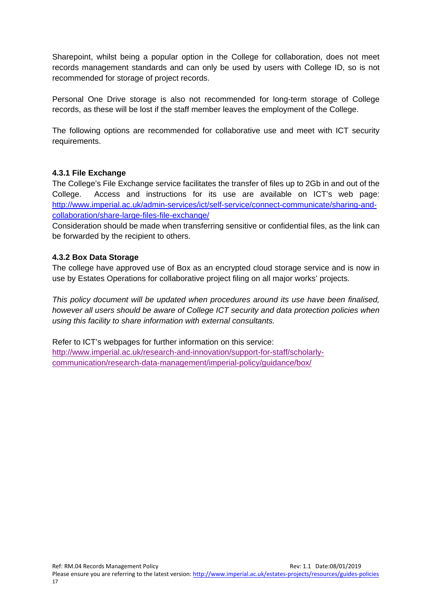Sharepoint, whilst being a popular option in the College for collaboration, does not meet records management standards and can only be used by users with College ID, so is not recommended for storage of project records.

Personal One Drive storage is also not recommended for long-term storage of College records, as these will be lost if the staff member leaves the employment of the College.

The following options are recommended for collaborative use and meet with ICT security requirements.

#### **4.3.1 File Exchange**

The College's File Exchange service facilitates the transfer of files up to 2Gb in and out of the College. Access and instructions for its use are available on ICT's web page: http://www.imperial.ac.uk/admin-services/ict/self-service/connect-communicate/sharing-andcollaboration/share-large-files-file-exchange/

Consideration should be made when transferring sensitive or confidential files, as the link can be forwarded by the recipient to others.

#### **4.3.2 Box Data Storage**

The college have approved use of Box as an encrypted cloud storage service and is now in use by Estates Operations for collaborative project filing on all major works' projects.

*This policy document will be updated when procedures around its use have been finalised, however all users should be aware of College ICT security and data protection policies when using this facility to share information with external consultants.* 

Refer to ICT's webpages for further information on this service: http://www.imperial.ac.uk/research-and-innovation/support-for-staff/scholarlycommunication/research-data-management/imperial-policy/guidance/box/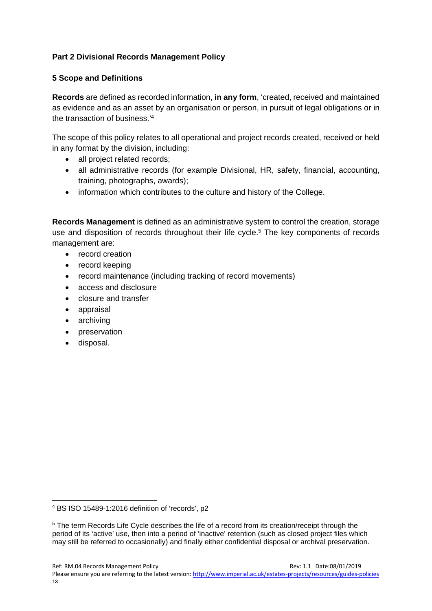# **Part 2 Divisional Records Management Policy**

#### **5 Scope and Definitions**

**Records** are defined as recorded information, **in any form**, 'created, received and maintained as evidence and as an asset by an organisation or person, in pursuit of legal obligations or in the transaction of business.'4

The scope of this policy relates to all operational and project records created, received or held in any format by the division, including:

- all project related records;
- all administrative records (for example Divisional, HR, safety, financial, accounting, training, photographs, awards);
- information which contributes to the culture and history of the College.

**Records Management** is defined as an administrative system to control the creation, storage use and disposition of records throughout their life cycle.<sup>5</sup> The key components of records management are:

- record creation
- record keeping
- record maintenance (including tracking of record movements)
- access and disclosure
- closure and transfer
- appraisal
- archiving
- preservation
- disposal.

<sup>4</sup> BS ISO 15489-1:2016 definition of 'records', p2

<sup>5</sup> The term Records Life Cycle describes the life of a record from its creation/receipt through the period of its 'active' use, then into a period of 'inactive' retention (such as closed project files which may still be referred to occasionally) and finally either confidential disposal or archival preservation.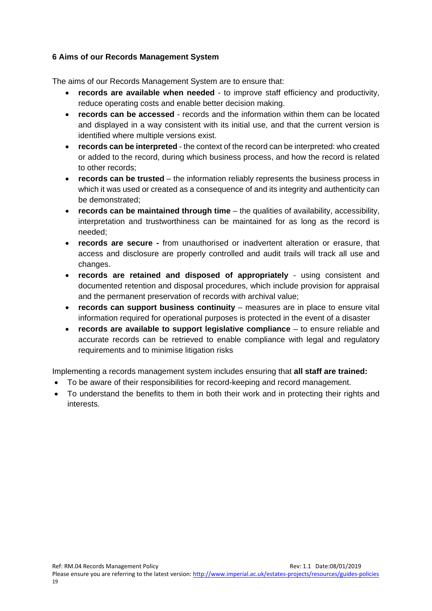#### **6 Aims of our Records Management System**

The aims of our Records Management System are to ensure that:

- **records are available when needed** to improve staff efficiency and productivity, reduce operating costs and enable better decision making.
- **records can be accessed** records and the information within them can be located and displayed in a way consistent with its initial use, and that the current version is identified where multiple versions exist.
- **records can be interpreted** the context of the record can be interpreted: who created or added to the record, during which business process, and how the record is related to other records;
- **records can be trusted** the information reliably represents the business process in which it was used or created as a consequence of and its integrity and authenticity can be demonstrated;
- **records can be maintained through time** the qualities of availability, accessibility, interpretation and trustworthiness can be maintained for as long as the record is needed;
- **records are secure** from unauthorised or inadvertent alteration or erasure, that access and disclosure are properly controlled and audit trails will track all use and changes.
- **records are retained and disposed of appropriately** using consistent and documented retention and disposal procedures, which include provision for appraisal and the permanent preservation of records with archival value;
- **records can support business continuity** measures are in place to ensure vital information required for operational purposes is protected in the event of a disaster
- **records are available to support legislative compliance**  to ensure reliable and accurate records can be retrieved to enable compliance with legal and regulatory requirements and to minimise litigation risks

Implementing a records management system includes ensuring that **all staff are trained:** 

- To be aware of their responsibilities for record-keeping and record management.
- To understand the benefits to them in both their work and in protecting their rights and interests.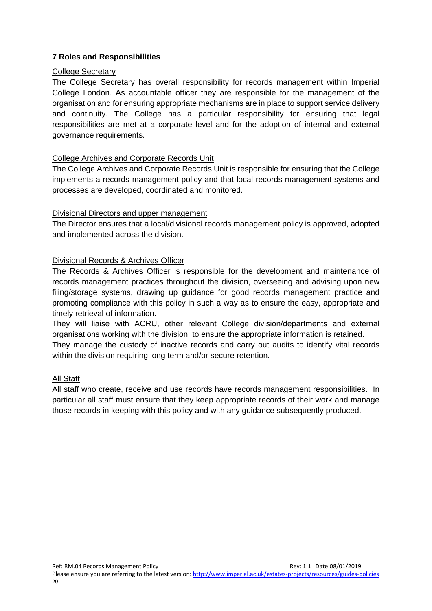#### **7 Roles and Responsibilities**

#### College Secretary

The College Secretary has overall responsibility for records management within Imperial College London. As accountable officer they are responsible for the management of the organisation and for ensuring appropriate mechanisms are in place to support service delivery and continuity. The College has a particular responsibility for ensuring that legal responsibilities are met at a corporate level and for the adoption of internal and external governance requirements.

#### College Archives and Corporate Records Unit

The College Archives and Corporate Records Unit is responsible for ensuring that the College implements a records management policy and that local records management systems and processes are developed, coordinated and monitored.

#### Divisional Directors and upper management

The Director ensures that a local/divisional records management policy is approved, adopted and implemented across the division.

#### Divisional Records & Archives Officer

The Records & Archives Officer is responsible for the development and maintenance of records management practices throughout the division, overseeing and advising upon new filing/storage systems, drawing up guidance for good records management practice and promoting compliance with this policy in such a way as to ensure the easy, appropriate and timely retrieval of information.

They will liaise with ACRU, other relevant College division/departments and external organisations working with the division, to ensure the appropriate information is retained.

They manage the custody of inactive records and carry out audits to identify vital records within the division requiring long term and/or secure retention.

#### All Staff

All staff who create, receive and use records have records management responsibilities. In particular all staff must ensure that they keep appropriate records of their work and manage those records in keeping with this policy and with any guidance subsequently produced.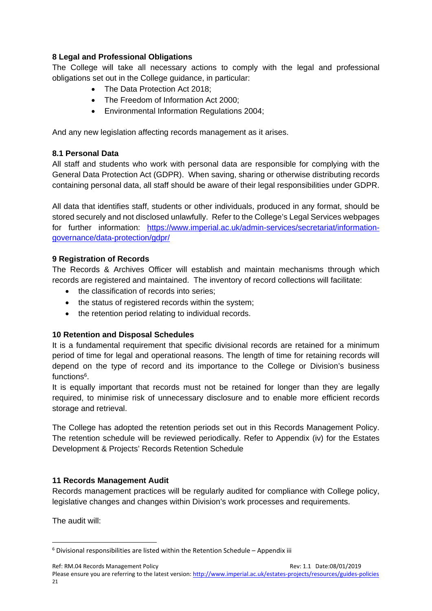## **8 Legal and Professional Obligations**

The College will take all necessary actions to comply with the legal and professional obligations set out in the College guidance, in particular:

- The Data Protection Act 2018;
- The Freedom of Information Act 2000:
- Environmental Information Regulations 2004;

And any new legislation affecting records management as it arises.

#### **8.1 Personal Data**

All staff and students who work with personal data are responsible for complying with the General Data Protection Act (GDPR). When saving, sharing or otherwise distributing records containing personal data, all staff should be aware of their legal responsibilities under GDPR.

All data that identifies staff, students or other individuals, produced in any format, should be stored securely and not disclosed unlawfully. Refer to the College's Legal Services webpages for further information: https://www.imperial.ac.uk/admin-services/secretariat/informationgovernance/data-protection/gdpr/

#### **9 Registration of Records**

The Records & Archives Officer will establish and maintain mechanisms through which records are registered and maintained. The inventory of record collections will facilitate:

- the classification of records into series:
- the status of registered records within the system;
- the retention period relating to individual records.

# **10 Retention and Disposal Schedules**

It is a fundamental requirement that specific divisional records are retained for a minimum period of time for legal and operational reasons. The length of time for retaining records will depend on the type of record and its importance to the College or Division's business functions<sup>6</sup>.

It is equally important that records must not be retained for longer than they are legally required, to minimise risk of unnecessary disclosure and to enable more efficient records storage and retrieval.

The College has adopted the retention periods set out in this Records Management Policy. The retention schedule will be reviewed periodically. Refer to Appendix (iv) for the Estates Development & Projects' Records Retention Schedule

# **11 Records Management Audit**

Records management practices will be regularly audited for compliance with College policy, legislative changes and changes within Division's work processes and requirements.

The audit will:

21

Ref: RM.04 Records Management Policy **State:08/01/2019** Rev: 1.1 Date:08/01/2019

 $6$  Divisional responsibilities are listed within the Retention Schedule – Appendix iii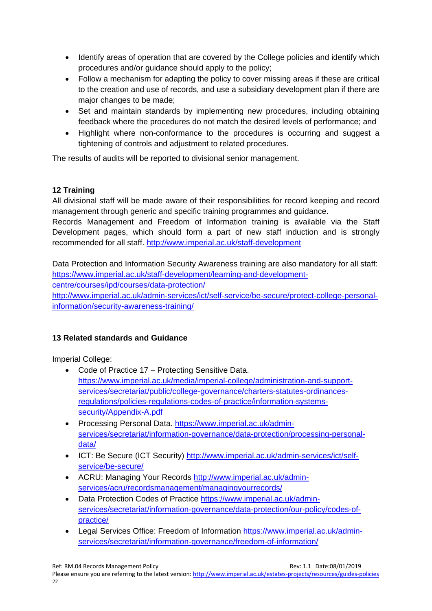- Identify areas of operation that are covered by the College policies and identify which procedures and/or guidance should apply to the policy;
- Follow a mechanism for adapting the policy to cover missing areas if these are critical to the creation and use of records, and use a subsidiary development plan if there are major changes to be made;
- Set and maintain standards by implementing new procedures, including obtaining feedback where the procedures do not match the desired levels of performance; and
- Highlight where non-conformance to the procedures is occurring and suggest a tightening of controls and adjustment to related procedures.

The results of audits will be reported to divisional senior management.

# **12 Training**

All divisional staff will be made aware of their responsibilities for record keeping and record management through generic and specific training programmes and guidance.

Records Management and Freedom of Information training is available via the Staff Development pages, which should form a part of new staff induction and is strongly recommended for all staff. http://www.imperial.ac.uk/staff-development

Data Protection and Information Security Awareness training are also mandatory for all staff: https://www.imperial.ac.uk/staff-development/learning-and-developmentcentre/courses/ipd/courses/data-protection/ http://www.imperial.ac.uk/admin-services/ict/self-service/be-secure/protect-college-personalinformation/security-awareness-training/

# **13 Related standards and Guidance**

Imperial College:

- Code of Practice 17 Protecting Sensitive Data. https://www.imperial.ac.uk/media/imperial-college/administration-and-supportservices/secretariat/public/college-governance/charters-statutes-ordinancesregulations/policies-regulations-codes-of-practice/information-systemssecurity/Appendix-A.pdf
- Processing Personal Data. https://www.imperial.ac.uk/adminservices/secretariat/information-governance/data-protection/processing-personaldata/
- ICT: Be Secure (ICT Security) http://www.imperial.ac.uk/admin-services/ict/selfservice/be-secure/
- ACRU: Managing Your Records http://www.imperial.ac.uk/adminservices/acru/recordsmanagement/managingyourrecords/
- Data Protection Codes of Practice https://www.imperial.ac.uk/adminservices/secretariat/information-governance/data-protection/our-policy/codes-ofpractice/
- Legal Services Office: Freedom of Information https://www.imperial.ac.uk/adminservices/secretariat/information-governance/freedom-of-information/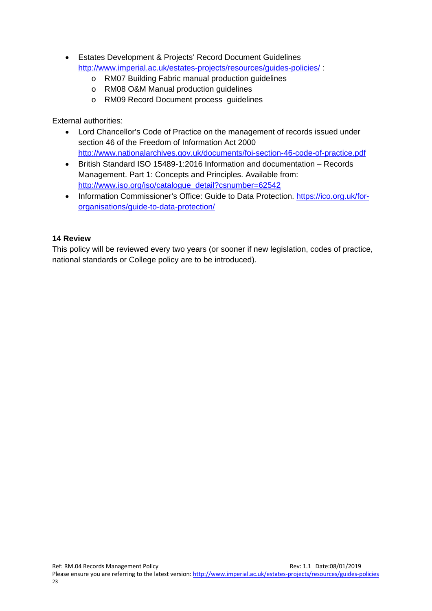- Estates Development & Projects' Record Document Guidelines http://www.imperial.ac.uk/estates-projects/resources/guides-policies/ :
	- o RM07 Building Fabric manual production guidelines
	- o RM08 O&M Manual production guidelines
	- o RM09 Record Document process guidelines

External authorities:

- Lord Chancellor's Code of Practice on the management of records issued under section 46 of the Freedom of Information Act 2000 http://www.nationalarchives.gov.uk/documents/foi-section-46-code-of-practice.pdf
- British Standard ISO 15489-1:2016 Information and documentation Records Management. Part 1: Concepts and Principles. Available from: http://www.iso.org/iso/catalogue\_detail?csnumber=62542
- Information Commissioner's Office: Guide to Data Protection. https://ico.org.uk/fororganisations/guide-to-data-protection/

#### **14 Review**

This policy will be reviewed every two years (or sooner if new legislation, codes of practice, national standards or College policy are to be introduced).